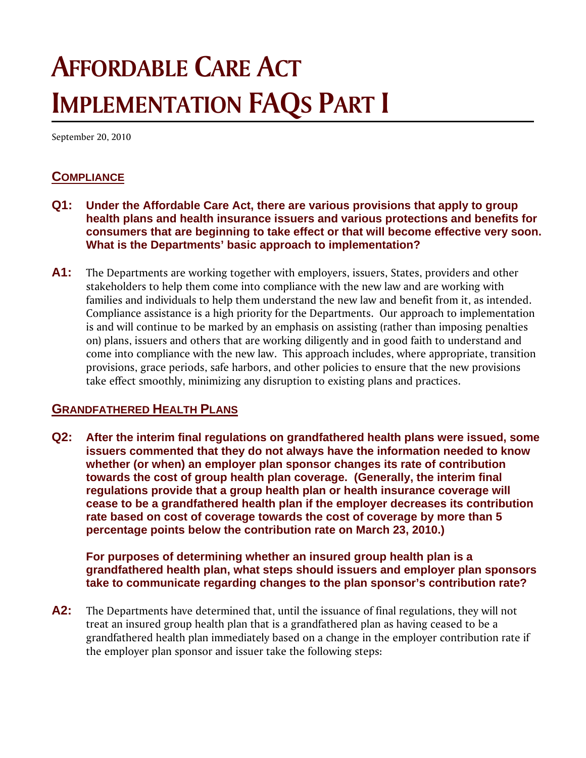# **AFFORDABLE CARE ACT IMPLEMENTATION FAQS PART I**

September 20, 2010

# **COMPLIANCE**

- **Q1: Under the Affordable Care Act, there are various provisions that apply to group health plans and health insurance issuers and various protections and benefits for consumers that are beginning to take effect or that will become effective very soon. What is the Departments' basic approach to implementation?**
- **A1:** The Departments are working together with employers, issuers, States, providers and other stakeholders to help them come into compliance with the new law and are working with families and individuals to help them understand the new law and benefit from it, as intended. Compliance assistance is a high priority for the Departments. Our approach to implementation is and will continue to be marked by an emphasis on assisting (rather than imposing penalties on) plans, issuers and others that are working diligently and in good faith to understand and come into compliance with the new law. This approach includes, where appropriate, transition provisions, grace periods, safe harbors, and other policies to ensure that the new provisions take effect smoothly, minimizing any disruption to existing plans and practices.

## **GRANDFATHERED HEALTH PLANS**

**Q2: After the interim final regulations on grandfathered health plans were issued, some issuers commented that they do not always have the information needed to know whether (or when) an employer plan sponsor changes its rate of contribution towards the cost of group health plan coverage. (Generally, the interim final regulations provide that a group health plan or health insurance coverage will cease to be a grandfathered health plan if the employer decreases its contribution rate based on cost of coverage towards the cost of coverage by more than 5 percentage points below the contribution rate on March 23, 2010.)** 

**For purposes of determining whether an insured group health plan is a grandfathered health plan, what steps should issuers and employer plan sponsors take to communicate regarding changes to the plan sponsor's contribution rate?** 

**A2:** The Departments have determined that, until the issuance of final regulations, they will not treat an insured group health plan that is a grandfathered plan as having ceased to be a grandfathered health plan immediately based on a change in the employer contribution rate if the employer plan sponsor and issuer take the following steps: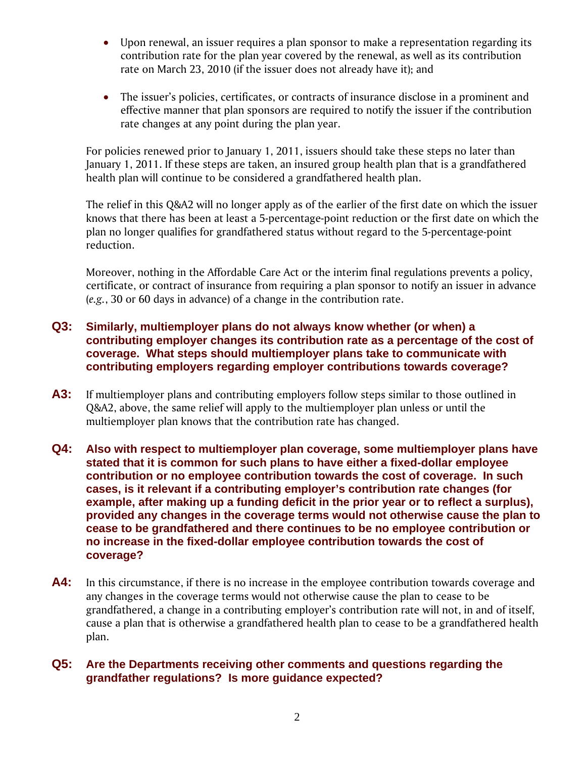- Upon renewal, an issuer requires a plan sponsor to make a representation regarding its contribution rate for the plan year covered by the renewal, as well as its contribution rate on March 23, 2010 (if the issuer does not already have it); and
- The issuer's policies, certificates, or contracts of insurance disclose in a prominent and effective manner that plan sponsors are required to notify the issuer if the contribution rate changes at any point during the plan year.

For policies renewed prior to January 1, 2011, issuers should take these steps no later than January 1, 2011. If these steps are taken, an insured group health plan that is a grandfathered health plan will continue to be considered a grandfathered health plan.

The relief in this Q&A2 will no longer apply as of the earlier of the first date on which the issuer knows that there has been at least a 5-percentage-point reduction or the first date on which the plan no longer qualifies for grandfathered status without regard to the 5-percentage-point reduction.

Moreover, nothing in the Affordable Care Act or the interim final regulations prevents a policy, certificate, or contract of insurance from requiring a plan sponsor to notify an issuer in advance (*e.g.*, 30 or 60 days in advance) of a change in the contribution rate.

#### **Q3: Similarly, multiemployer plans do not always know whether (or when) a contributing employer changes its contribution rate as a percentage of the cost of coverage. What steps should multiemployer plans take to communicate with contributing employers regarding employer contributions towards coverage?**

- **A3:** If multiemployer plans and contributing employers follow steps similar to those outlined in Q&A2, above, the same relief will apply to the multiemployer plan unless or until the multiemployer plan knows that the contribution rate has changed.
- **Q4: Also with respect to multiemployer plan coverage, some multiemployer plans have stated that it is common for such plans to have either a fixed-dollar employee contribution or no employee contribution towards the cost of coverage. In such cases, is it relevant if a contributing employer's contribution rate changes (for example, after making up a funding deficit in the prior year or to reflect a surplus), provided any changes in the coverage terms would not otherwise cause the plan to cease to be grandfathered and there continues to be no employee contribution or no increase in the fixed-dollar employee contribution towards the cost of coverage?**
- **A4:** In this circumstance, if there is no increase in the employee contribution towards coverage and any changes in the coverage terms would not otherwise cause the plan to cease to be grandfathered, a change in a contributing employer's contribution rate will not, in and of itself, cause a plan that is otherwise a grandfathered health plan to cease to be a grandfathered health plan.

#### **Q5: Are the Departments receiving other comments and questions regarding the grandfather regulations? Is more guidance expected?**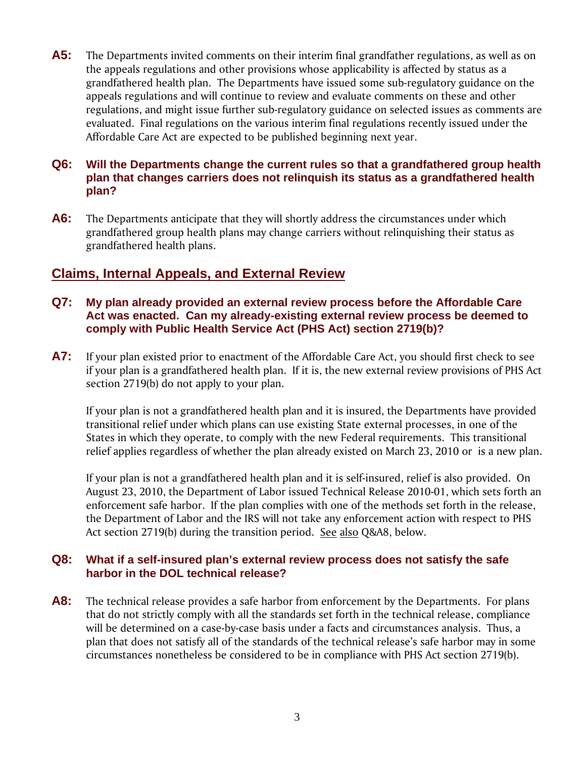**A5:** The Departments invited comments on their interim final grandfather regulations, as well as on the appeals regulations and other provisions whose applicability is affected by status as a grandfathered health plan. The Departments have issued some sub-regulatory guidance on the appeals regulations and will continue to review and evaluate comments on these and other regulations, and might issue further sub-regulatory guidance on selected issues as comments are evaluated. Final regulations on the various interim final regulations recently issued under the Affordable Care Act are expected to be published beginning next year.

#### **Q6: Will the Departments change the current rules so that a grandfathered group health plan that changes carriers does not relinquish its status as a grandfathered health plan?**

**A6:** The Departments anticipate that they will shortly address the circumstances under which grandfathered group health plans may change carriers without relinquishing their status as grandfathered health plans.

## **Claims, Internal Appeals, and External Review**

- **Q7: My plan already provided an external review process before the Affordable Care Act was enacted. Can my already-existing external review process be deemed to comply with Public Health Service Act (PHS Act) section 2719(b)?**
- **A7:** If your plan existed prior to enactment of the Affordable Care Act, you should first check to see if your plan is a grandfathered health plan. If it is, the new external review provisions of PHS Act section 2719(b) do not apply to your plan.

If your plan is not a grandfathered health plan and it is insured, the Departments have provided transitional relief under which plans can use existing State external processes, in one of the States in which they operate, to comply with the new Federal requirements. This transitional relief applies regardless of whether the plan already existed on March 23, 2010 or is a new plan.

If your plan is not a grandfathered health plan and it is self-insured, relief is also provided. On August 23, 2010, the Department of Labor issued Technical Release 2010-01, which sets forth an enforcement safe harbor. If the plan complies with one of the methods set forth in the release, the Department of Labor and the IRS will not take any enforcement action with respect to PHS Act section 2719(b) during the transition period. See also Q&A8, below.

#### **Q8: What if a self-insured plan's external review process does not satisfy the safe harbor in the DOL technical release?**

**A8:** The technical release provides a safe harbor from enforcement by the Departments. For plans that do not strictly comply with all the standards set forth in the technical release, compliance will be determined on a case-by-case basis under a facts and circumstances analysis. Thus, a plan that does not satisfy all of the standards of the technical release's safe harbor may in some circumstances nonetheless be considered to be in compliance with PHS Act section 2719(b).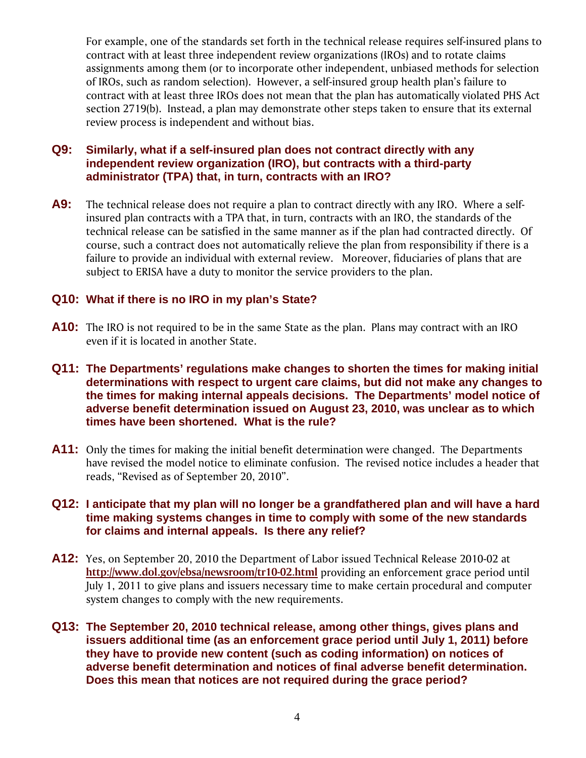For example, one of the standards set forth in the technical release requires self-insured plans to contract with at least three independent review organizations (IROs) and to rotate claims assignments among them (or to incorporate other independent, unbiased methods for selection of IROs, such as random selection). However, a self-insured group health plan's failure to contract with at least three IROs does not mean that the plan has automatically violated PHS Act section 2719(b). Instead, a plan may demonstrate other steps taken to ensure that its external review process is independent and without bias.

#### **Q9: Similarly, what if a self-insured plan does not contract directly with any independent review organization (IRO), but contracts with a third-party administrator (TPA) that, in turn, contracts with an IRO?**

**A9:** The technical release does not require a plan to contract directly with any IRO. Where a selfinsured plan contracts with a TPA that, in turn, contracts with an IRO, the standards of the technical release can be satisfied in the same manner as if the plan had contracted directly. Of course, such a contract does not automatically relieve the plan from responsibility if there is a failure to provide an individual with external review. Moreover, fiduciaries of plans that are subject to ERISA have a duty to monitor the service providers to the plan.

#### **Q10: What if there is no IRO in my plan's State?**

- **A10:** The IRO is not required to be in the same State as the plan. Plans may contract with an IRO even if it is located in another State.
- **Q11: The Departments' regulations make changes to shorten the times for making initial determinations with respect to urgent care claims, but did not make any changes to the times for making internal appeals decisions. The Departments' model notice of adverse benefit determination issued on August 23, 2010, was unclear as to which times have been shortened. What is the rule?**
- **A11:** Only the times for making the initial benefit determination were changed. The Departments have revised the model notice to eliminate confusion. The revised notice includes a header that reads, "Revised as of September 20, 2010".

#### **Q12: I anticipate that my plan will no longer be a grandfathered plan and will have a hard time making systems changes in time to comply with some of the new standards for claims and internal appeals. Is there any relief?**

- **A12:** Yes, on September 20, 2010 the Department of Labor issued Technical Release 2010-02 at **http://www.dol.gov/ebsa/newsroom/tr10-02.html** providing an enforcement grace period until July 1, 2011 to give plans and issuers necessary time to make certain procedural and computer system changes to comply with the new requirements.
- **Q13: The September 20, 2010 technical release, among other things, gives plans and issuers additional time (as an enforcement grace period until July 1, 2011) before they have to provide new content (such as coding information) on notices of adverse benefit determination and notices of final adverse benefit determination. Does this mean that notices are not required during the grace period?**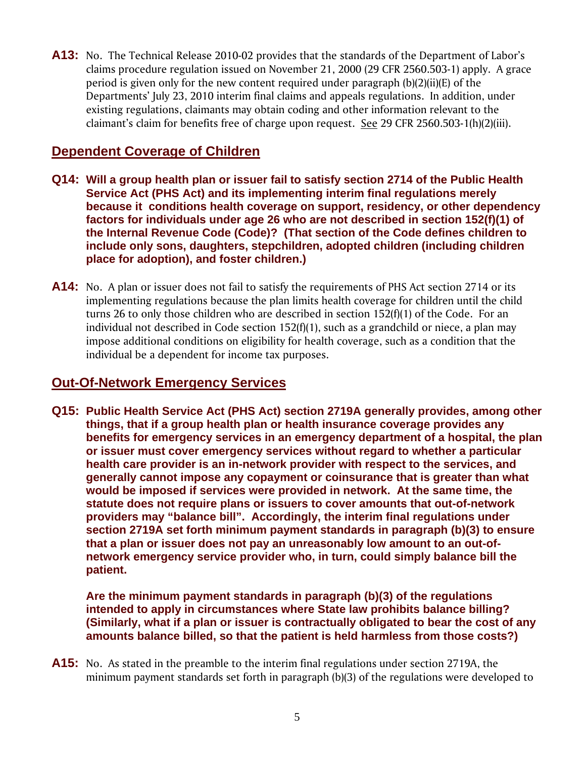**A13:** No. The Technical Release 2010-02 provides that the standards of the Department of Labor's claims procedure regulation issued on November 21, 2000 (29 CFR 2560.503-1) apply. A grace period is given only for the new content required under paragraph (b)(2)(ii)(E) of the Departments' July 23, 2010 interim final claims and appeals regulations. In addition, under existing regulations, claimants may obtain coding and other information relevant to the claimant's claim for benefits free of charge upon request. See 29 CFR 2560.503-1(h)(2)(iii).

# **Dependent Coverage of Children**

- **Q14: Will a group health plan or issuer fail to satisfy section 2714 of the Public Health Service Act (PHS Act) and its implementing interim final regulations merely because it conditions health coverage on support, residency, or other dependency factors for individuals under age 26 who are not described in section 152(f)(1) of the Internal Revenue Code (Code)? (That section of the Code defines children to include only sons, daughters, stepchildren, adopted children (including children place for adoption), and foster children.)**
- **A14:** No. A plan or issuer does not fail to satisfy the requirements of PHS Act section 2714 or its implementing regulations because the plan limits health coverage for children until the child turns 26 to only those children who are described in section 152(f)(1) of the Code. For an individual not described in Code section 152(f)(1), such as a grandchild or niece, a plan may impose additional conditions on eligibility for health coverage, such as a condition that the individual be a dependent for income tax purposes.

## **Out-Of-Network Emergency Services**

**Q15: Public Health Service Act (PHS Act) section 2719A generally provides, among other things, that if a group health plan or health insurance coverage provides any benefits for emergency services in an emergency department of a hospital, the plan or issuer must cover emergency services without regard to whether a particular health care provider is an in-network provider with respect to the services, and generally cannot impose any copayment or coinsurance that is greater than what would be imposed if services were provided in network. At the same time, the statute does not require plans or issuers to cover amounts that out-of-network providers may "balance bill". Accordingly, the interim final regulations under section 2719A set forth minimum payment standards in paragraph (b)(3) to ensure that a plan or issuer does not pay an unreasonably low amount to an out-ofnetwork emergency service provider who, in turn, could simply balance bill the patient.** 

**Are the minimum payment standards in paragraph (b)(3) of the regulations intended to apply in circumstances where State law prohibits balance billing? (Similarly, what if a plan or issuer is contractually obligated to bear the cost of any amounts balance billed, so that the patient is held harmless from those costs?)** 

**A15:** No. As stated in the preamble to the interim final regulations under section 2719A, the minimum payment standards set forth in paragraph (b)(3) of the regulations were developed to